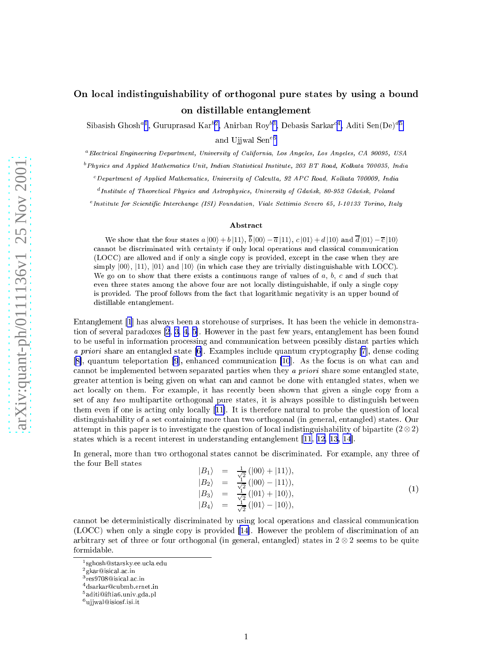## <span id="page-0-0"></span>on al indistinguishability of orthogonal pure states by using a states on distillable entanglement

Sibasish Ghosh<sup>a1</sup>, Guruprasad Kar<sup>b2</sup>, Anirban Roy<sup>b3</sup>, Debasis Sarkar<sup>c4</sup>, Aditi Sen(De)<sup>d5</sup>

and Ujjwal Sen e <sup>6</sup>

<sup>a</sup>Electrical Engineering Department, University of California, Los Angeles, Los Angeles, CA 90095, USA

<sup>b</sup> Physics and Applied Mathematics Unit, Indian Statistical Institute, 203 BT Road, Kolkata 700035, India

 $c$  Department of Applied Mathematics, University of Calcutta, 92 APC Road, Kolkata 700009, India

<sup>d</sup>Institute of Theoretical Physics and Astrophysics, University of Gdańsk, 80-952 Gdańsk, Poland

<sup>e</sup> Institute for Scientific Interchange (ISI) Foundation, Viale Settimio Severo 65, I-10133 Torino, Italy

## Abstra
t

We show that the four states  $a |00\rangle + b |11\rangle$ ,  $b |00\rangle - \overline{a} |11\rangle$ ,  $c |01\rangle + d |10\rangle$  and  $d |01\rangle - \overline{c} |10\rangle$ cannot be discriminated with certainty if only local operations and classical communication (are in the allowed and in the single single and in the single in the single and in the single single  $\sim$  $\text{simply } |00\rangle, |11\rangle, |01\rangle \text{ and } |10\rangle \text{ (in which case they are trivially distinguishable with LOCC).}$ We go on to show that there exists a continuous range of values of  $a, b, c$  and  $d$  such that even three states among the above four are not lo
ally distinguishable, if only a single opy is provided. The proof follows from the fact that logarithmic negativity is an upper bound of distillable entanglement.

entanglement [\[1](#page-4-0)] mas always been the vehicle in the vehicle of surprises. It has been the vehicle in demonstra tion of several paradoxes  $[2, 3, 4, 5]$  $[2, 3, 4, 5]$  $[2, 3, 4, 5]$  $[2, 3, 4, 5]$  $[2, 3, 4, 5]$  $[2, 3, 4, 5]$ . However in the past few years, entanglement has been found to be useful in information processing and communication between possibly distant parties which a priori share an entangled state  $[6]$ . Examples include quantum cryptography  $[7]$  $[7]$ , dense coding  $[8]$ , quantum teleportation  $[9]$  $[9]$ , enhanced communication  $[10]$  $[10]$ . As the focus is on what can and annot be implemented between separated parties when they <sup>a</sup> priori share some entangled state, greater attention is being given on what an and annot be done with entangled states, when we and the control them. For example, it has recovering the control that  $\Delta$  it has a single that  $\beta$ set of any two multipartite orthogonal pure states, it is always possible to distinguish between them even if one is acting only locally  $[11]$ . It is therefore natural to probe the question of local distinguishability of a set ontaining more than two orthogonal (in general, entangled) states. Our attempt in this paper is to investigate the question of local indistinguishability of bipartite  $(2 \otimes 2)$ states which is a recent first interest in understanding entanglement [[11,](#page-4-0) [12,](#page-4-0) [13,](#page-4-0) 14]

In general, more than two orthogonal states cannot be discriminated. For example, any three of the four Bell states

$$
|B_1\rangle = \frac{1}{\sqrt{2}} (|00\rangle + |11\rangle),
$$
  
\n
$$
|B_2\rangle = \frac{1}{\sqrt{2}} (|00\rangle - |11\rangle),
$$
  
\n
$$
|B_3\rangle = \frac{1}{\sqrt{2}} (|01\rangle + |10\rangle),
$$
  
\n
$$
|B_4\rangle = \frac{1}{\sqrt{2}} (|01\rangle - |10\rangle),
$$
  
\n(1)

cannot be deterministically discriminated by using local operations and classical communication rimination only a single copy is problem of discussion problem of an anomalism of an  $\arbitrary$  set of three or four orthogonal (in general, entangled) states in  $2 \otimes 2$  seems to be quite formidable.

<sup>-</sup> sgnosn ⊌ starsky.ee.ucia.edu

<sup>-</sup>gkar⊌isicai.ac.iii

res9700@isical.ac.iii

<sup>4</sup> dsarkar
ubmb.ernet.in

<sup>-</sup> aditiwiitiao.univ.gda.pl

<sup>⊺</sup>u]]wal⊌isiosi.isi.it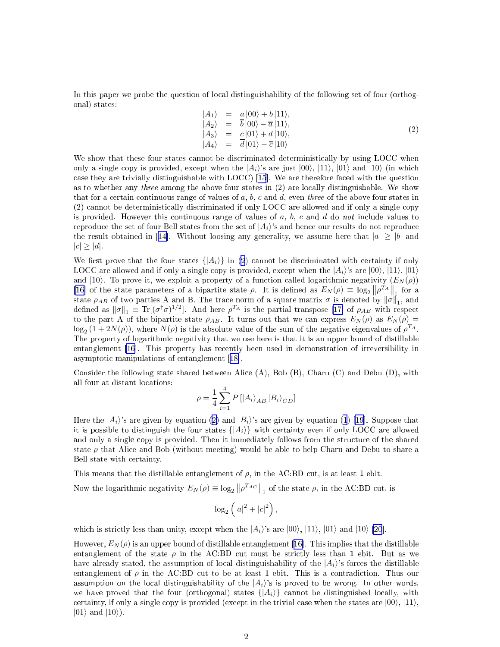<span id="page-1-0"></span>In this paper we probe the question of local distinguishability of the following set of four (orthogonal) states:

$$
\begin{array}{rcl}\n\left| A_1 \right\rangle & = & a\left| 00 \right\rangle + b\left| 11 \right\rangle, \\
\left| A_2 \right\rangle & = & \overline{b}\left| 00 \right\rangle - \overline{a}\left| 11 \right\rangle, \\
\left| A_3 \right\rangle & = & c\left| 01 \right\rangle + d\left| 10 \right\rangle, \\
\left| A_4 \right\rangle & = & \overline{d}\left| 01 \right\rangle - \overline{c}\left| 10 \right\rangle\n\end{array}\n\tag{2}
$$

We show that these four states cannot be discriminated deterministically by using LOCC when only a s[i](#page-4-0)ngle copy is provided, except when the  $|A_i\rangle$ 's are just  $|00\rangle$ ,  $|11\rangle$ ,  $|01\rangle$  and  $|10\rangle$  (in which case they are trivially distinguishable with LOCC  $[15]$ . We are therefore faced with the question as to whether any *three* among the above four states in  $(2)$  are locally distinguishable. We show that for a certain continuous range of values of  $a, b, c$  and  $d$ , even three of the above four states in (2) annot be deterministi
ally dis
riminated if only LOCC are allowed and if only a single opy is provided. However this continuous range of values of  $a, b, c$  and  $d$  do not include values to reproduce the set of four Bell states from the set of  $|A_i\rangle$ 's and hence our results do not reproduce the result obtained in [14]. Without loosing any generality, we assume here that  $|a| \ge |b|$  and  $|c| \geq |d|$ .

We first prove that the four states  $\{|A_i\rangle\}$  in (2) cannot be discriminated with certainty if only LOCC are allowed and if only a single copy is provided, except when the  $|A_i\rangle$ 's are  $|00\rangle$ ,  $|11\rangle$ ,  $|01\rangle$ and (10). To prove it, we exploit a property of a function called logarithmic negativity  $(E_N(\rho))$ [16] of the state parameters of a bipartite state  $\rho$ . It is defined as  $E_N(\rho) \equiv \log_2 \|\rho^{TA}\|_1$  for a [10] of the state parameters of a sipartitie state p. 1t is defined as  $E_N(p) = \log_2 ||p - ||_1$  for a state  $\rho_{AB}$  of two parties A and B. The trace norm of a square matrix  $\sigma$  is denoted by  $||\sigma||_1$ , and defined as  $||\sigma||_1 \equiv \$ to the part A of the bipartite state  $\rho_{AB}$ . It turns out that we can express  $E_N(\rho)$  as  $E_N(\rho)$  =  $\log_2(1+2N(\rho))$ , where  $N(\rho)$  is the absolute value of the sum of the negative eigenvalues of  $\rho^{T_A}$ . The property of logarithmic negativity that we use here is that it is an upper bound of distillable entanglement [\[16](#page-4-0)]. This property has recently been used in demonstration of irreversibility in asymptotic manipulations of entanglement  $[18]$ .

Consider the following state shared between Alice (A), Bob (B), Charu (C) and Debu (D), with all four at distant lo
ations:

$$
\rho=\frac{1}{4}\sum_{i=1}^{4}P\left[ \left| A_{i}\right\rangle _{AB}\left| B_{i}\right\rangle _{CD}\right]
$$

Here the  $|A_i\rangle$ 's are given by equation (2) and  $|B_i\rangle$ 's are given by equation [\(1](#page-0-0)) [\[19](#page-4-0)]. Suppose that it is possible to distinguish the four states  $\{ |A_i \rangle \}$  with certainty even if only LOCC are allowed and only a single copy is provided. Then it immediately follows from the structure of the shared state  $\rho$  that Alice and Bob (without meeting) would be able to help Charu and Debu to share a Bell state with ertainty.

This means that the distillable entanglement of  $\rho$ , in the AC:BD cut, is at least 1 ebit.

Now the logarithmic negativity  $E_N(\rho) \equiv \log_2 ||\rho^{T_{AC}}||_1$  of the state  $\rho$ , in the AC:BD cut, is

$$
\log_2\left(|a|^2+|c|^2\right),\,
$$

which is strictly less than unity, except when the  $|A_i\rangle$ 's are  $|00\rangle$ ,  $|11\rangle$ ,  $|01\rangle$  and  $|10\rangle$  [\[20](#page-4-0)].

However,  $E_N(\rho)$  is an upper bound of distillable entanglement [16]. This implies that the distillable entanglement of the state  $\rho$  in the AC:BD cut must be strictly less than 1 ebit. But as we have already stated, the assumption of local distinguishability of the  $|A_i\rangle$ 's forces the distillable entanglement of  $\rho$  in the AC:BD cut to be at least 1 ebit. This is a contradiction. Thus our assumption on the local distinguishability of the  $|A_i\rangle$ 's is proved to be wrong. In other words, we have proved that the four (orthogonal) states  $\{A_i\}$  cannot be distinguished locally, with certainty, if only a single copy is provided (except in the trivial case when the states are  $|00\rangle, |11\rangle,$  $|01\rangle$  and  $|10\rangle$ ).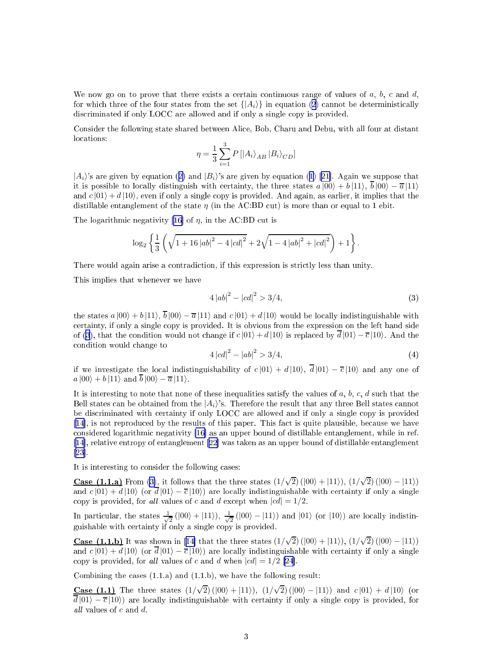<span id="page-2-0"></span>We now go on to prove that there exists a certain continuous range of values of  $a, b, c$  and  $d$ , for which three of the four states from the set  $\{A_i\}$  in equation ([2\)](#page-1-0) cannot be deterministically discriminated if only LOCC are allowed and if only a single copy is provided.

Consider the following state shared between Alice, Bob, Charu and Debu, with all four at distant locations:

$$
\eta = \frac{1}{3} \sum_{i=1}^{3} P\left[ \left| A_i \right\rangle_{AB} \left| B_i \right\rangle_{CD} \right]
$$

 $|A_i\rangle$ 's are given by equation ([2\)](#page-1-0) and  $|B_i\rangle$ 's are given by equation ([1\)](#page-0-0) [21]. Again we suppose that it is possible to locally distinguish with certainty, the three states  $a|00\rangle + b|11\rangle$ ,  $\overline{b}|00\rangle - \overline{a}|11\rangle$ and  $c |01\rangle + d |10\rangle$ , even if only a single copy is provided. And again, as earlier, it implies that the distillable entanglement of the state  $\eta$  (in the AC:BD cut) is more than or equal to 1 ebit.

The logarithmic negativity [16] of  $\eta$ , in the AC:BD cut is

$$
\log_2\left\{\frac{1}{3}\left(\sqrt{1+16\left|ab\right|^2-4\left|cd\right|^2}+2\sqrt{1-4\left|ab\right|^2+\left|cd\right|^2}\right)+1\right\}.
$$

There would again arise a contradiction, if this expression is strictly less than unity.

This implies that whenever we have

$$
4|ab|^2 - |cd|^2 > 3/4,
$$
\n(3)

the states  $a|00\rangle + b|11\rangle$ ,  $\bar{b}|00\rangle - \bar{a}|11\rangle$  and  $c|01\rangle + d|10\rangle$  would be locally indistinguishable with ertainty, if only a single opy is provided. It is obvious from the expression on the left hand side of (3), that the condition would not change if  $c|01\rangle + d|10\rangle$  is replaced by  $\overline{d}|01\rangle - \overline{c}|10\rangle$ . And the ondition would hange to

$$
4|cd|^2 - |ab|^2 > 3/4,
$$
\n(4)

if we investigate the local indistinguishability of  $c |01\rangle + d |10\rangle$ ,  $\overline{d} |01\rangle - \overline{c} |10\rangle$  and any one of  $a |00\rangle + b |11\rangle$  and  $\overline{b} |00\rangle - \overline{a} |11\rangle$ .

It is interesting to note that none of these inequalities satisfy the values of  $a, b, c, d$  such that the Bell states can be obtained from the  $|A_i\rangle$ 's. Therefore the result that any three Bell states cannot be discriminated with certainty if only LOCC are allowed and if only a single copy is provided [14], is not reproduced by the results of this paper. This fact is quite plausible, because we have considered logarithmic negativity [16] as an upper bound of distillable entanglement, while in ref.  $[14]$ , relative entropy of entanglement  $[22]$  was taken as an upper bound of distillable entanglement  $[23]$ 

It is interesting to consider the following cases:

Case (1.1.a) From (3), it follows that the three states  $(1/\sqrt{2}) (|00\rangle + |11\rangle)$ ,  $(1/\sqrt{2}) (|00\rangle - |11\rangle)$ and  $c |01\rangle + d |10\rangle$  (or  $\overline{d} |01\rangle - \overline{c} |10\rangle$ ) are locally indistinguishable with certainty if only a single copy is provided, for all values of c and d except when  $|cd| = 1/2$ .

In particular, the states  $\frac{1}{\sqrt{2}}$  $\frac{1}{2}$  (|00) + |11)),  $\frac{1}{\sqrt{2}}$  $\frac{1}{2}(|00\rangle - |11\rangle)$  and  $|01\rangle$  (or  $|10\rangle)$  are locally indistinguishable with ertainty if only a single opy is provided.

Case (1.1.b) It was shown in [14] that the three states  $(1/\sqrt{2}) (|00\rangle + |11\rangle)$ ,  $(1/\sqrt{2}) (|00\rangle - |11\rangle)$ and  $c |01\rangle + d |10\rangle$  (or  $d |01\rangle - \overline{c} |10\rangle$ ) are locally indistinguishable with certainty if only a single copy is provided, for all values of c and d when  $|cd| = 1/2$  [\[24](#page-5-0)].

Combining the cases  $(1.1.a)$  and  $(1.1.b)$ , we have the following result:

Case (1.1) The three states  $(1/\sqrt{2}) (|00\rangle + |11\rangle)$ ,  $(1/\sqrt{2}) (|00\rangle - |11\rangle)$  and  $c |01\rangle + d |10\rangle$  (or  $d |01\rangle - \overline{c} |10\rangle)$  are locally indistinguishable with certainty if only a single copy is provided, for all values of  $c$  and  $d$ .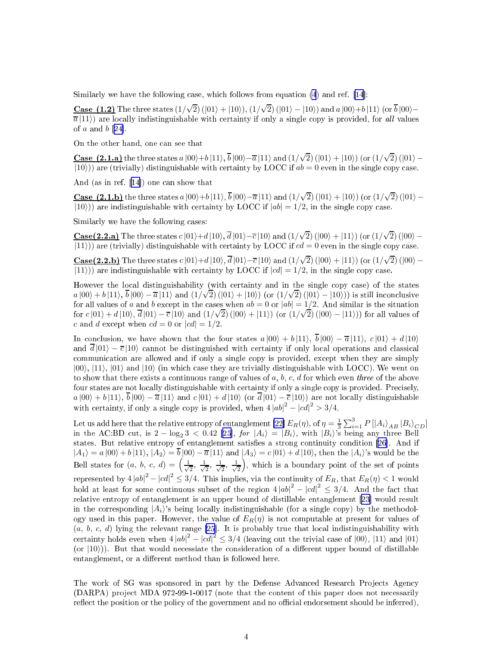Similarly we have the following case, which follows from equation  $(4)$  $(4)$  and ref. [\[14](#page-4-0)]:

Case (1.2) The three states  $(1/\sqrt{2})$  ( $|01\rangle + |10\rangle$ ),  $(1/\sqrt{2})$  ( $|01\rangle - |10\rangle$ ) and  $a |00\rangle + b |11\rangle$  (or  $\overline{b} |00\rangle \overline{a}$ (11)) are locally indistinguishable with certainty if only a single copy is provided, for all values of  $a$  and  $b$  [24].

On the other hand, one can see that

Case (2.1.a) the three states  $a |00\rangle + b |11\rangle$ ,  $\overline{b} |00\rangle - \overline{a} |11\rangle$  and  $(1/\sqrt{2}) (|01\rangle + |10\rangle)$  (or  $(1/\sqrt{2}) (|01\rangle |10\rangle$ ) are (trivially) distinguishable with certainty by LOCC if  $ab = 0$  even in the single copy case.

And (as in ref.  $[14]$ ) one can show that

Case (2.1.b) the three states  $a |00\rangle + b |11\rangle$ ,  $\overline{b} |00\rangle - \overline{a} |11\rangle$  and  $(1/\sqrt{2}) (|01\rangle + |10\rangle)$  (or  $(1/\sqrt{2}) (|01\rangle |10\rangle$ ) are indistinguishable with certainty by LOCC if  $|ab| = 1/2$ , in the single copy case.

Similarly we have the following cases:

Case(2.2.a) The three states  $c |01\rangle + d |10\rangle$ ,  $\overline{d} |01\rangle - \overline{c} |10\rangle$  and  $(1/\sqrt{2}) (|00\rangle + |11\rangle)$  (or  $(1/\sqrt{2}) (|00\rangle |11\rangle$ ) are (trivially) distinguishable with certainty by LOCC if  $cd = 0$  even in the single copy case.

Case(2.2.b) The three states  $c |01\rangle + d |10\rangle$ ,  $\overline{d} |01\rangle - \overline{c} |10\rangle$  and  $(1/\sqrt{2}) (|00\rangle + |11\rangle)$  (or  $(1/\sqrt{2}) (|00\rangle |11\rangle$ ) are indistinguishable with certainty by LOCC if  $|cd| = 1/2$ , in the single copy case.

However the local distinguishability (with certainty and in the single copy case) of the states  $a |00\rangle + b |11\rangle$ ,  $\bar{b} |00\rangle - \bar{a} |11\rangle$  and  $(1/\sqrt{2}) (|01\rangle + |10\rangle)$  (or  $(1/\sqrt{2}) (|01\rangle - |10\rangle)$ ) is still inconclusive for all values of a and b except in the cases when  $ab = 0$  or  $|ab| = 1/2$ . And similar is the situation for  $c$  |01) + d |10),  $\overline{d}$  |01)  $-\overline{c}$  |10) and (1/ $\sqrt{2}$ ) (|00) + |11)) (or (1/ $\sqrt{2}$ ) (|00) - |11))) for all values of c and d except when  $cd = 0$  or  $|cd| = 1/2$ .

In conclusion, we have shown that the four states  $a|00\rangle + b|11\rangle$ ,  $\overline{b}|00\rangle - \overline{a}|11\rangle$ ,  $c|01\rangle + d|10\rangle$ and  $\overline{d}|01\rangle - \overline{c}|10\rangle$  cannot be distinguished with certainty if only local operations and classical communication are allowed and if only a single copy is provided, except when they are simply  $|00\rangle$ ,  $|11\rangle$ ,  $|01\rangle$  and  $|10\rangle$  (in which case they are trivially distinguishable with LOCC). We went on to show that there exists a continuous range of values of  $a, b, c, d$  for which even three of the above four states are not locally distinguishable with certainty if only a single copy is provided. Precisely,  $a|00\rangle + b|11\rangle, \overline{b}|00\rangle - \overline{a}|11\rangle$  and  $c|01\rangle + d|10\rangle$  (or  $\overline{d}|01\rangle - \overline{c}|10\rangle$ ) are not locally distinguishable with certainty, if only a single copy is provided, when  $4 |ab|^2 - |cd|^2 > 3/4$ .

Let us add here that the relative entropy of entanglement  $[22] E_R(\eta)$ , of  $\eta = \frac{1}{3} \sum_{i=1}^3 P[|A_i\rangle_{AB} |B_i\rangle_{CD}]$ in the AC:BD cut, is  $2 - \log_2 3 < 0.42$  [25], for  $|A_i\rangle = |B_i\rangle$ , with  $|B_i\rangle$ 's being any three Bell states. But relative entropy of entanglement satisfies a strong continuity condition [\[26](#page-5-0)]. And if  $|A_1\rangle = a |00\rangle + b |11\rangle, |A_2\rangle = \overline{b} |00\rangle - \overline{a} |11\rangle$  and  $|A_3\rangle = c |01\rangle + d |10\rangle$ , then the  $|A_i\rangle$ 's would be the Bell states for  $(a, b, c, d) = \left(\frac{1}{\sqrt{2}}\right)^{3}$  $\frac{1}{2}$ ,  $\frac{1}{\sqrt{2}}$  $\frac{1}{2}$ ,  $\frac{1}{\sqrt{2}}$  $\frac{1}{2}$ ,  $\frac{1}{\sqrt{2}}$  $\frac{1}{2}$ , which is a boundary point of the set of points represented by  $4 |ab|^2 - |cd|^2 \leq 3/4$ . This implies, via the continuity of  $E_R$ , that  $E_R(\eta) < 1$  would hold at least for some continuous subset of the region  $4 |ab|^2 - |cd|^2 \le 3/4$ . And the fact that relative entropy of entanglement is an upper bound of distillable entanglement [23] would result in the corresponding  $|A_i\rangle$ 's being locally indistinguishable (for a single copy) by the methodology used in this paper. However, the value of  $E_R(\eta)$  is not computable at present for values of  $(a, b, c, d)$  lying the relevant range [25]. It is probably true that local indistinguishability with certainty holds even when  $4 |ab|^2 - |cd|^2 \leq 3/4$  $4 |ab|^2 - |cd|^2 \leq 3/4$  $4 |ab|^2 - |cd|^2 \leq 3/4$  (leaving out the trivial case of  $|00\rangle$ ,  $|11\rangle$  and  $|01\rangle$ (or  $|10\rangle$ )). But that would necessiate the consideration of a different upper bound of distillable entanglement, or a different method than is followed here.

The work of SG was sponsored in part by the Defense Advanced Research Projects Agency (DARPA) project MDA 972-99-1-0017 (note that the content of this paper does not necessarily reflect the position or the policy of the government and no official endorsement should be inferred),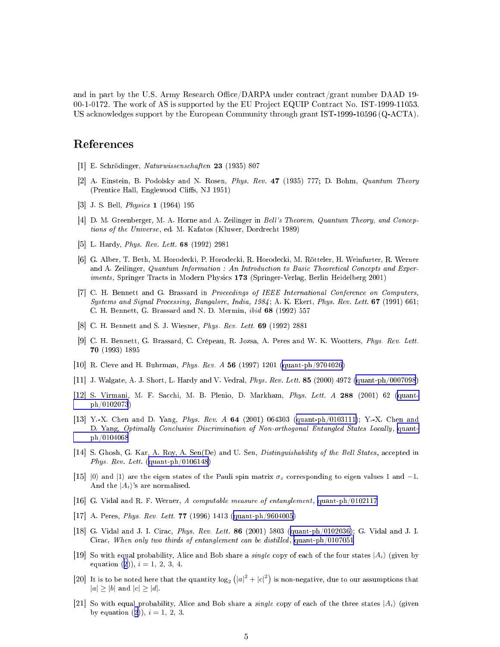<span id="page-4-0"></span>and in part by the U.S. Army Research Office/DARPA under contract/grant number DAAD 19-00-1-0172. The work of AS is supported by the EU Project EQUIP Contract No. IST-1999-11053. US acknowledges support by the European Community through grant IST-1999-10596 (Q-ACTA).

## References

- [1] E. Schrödinger, Naturwissenschaften 23 (1935) 807
- [2] A. Einstein, B. Podolsky and N. Rosen, Phys. Rev. 47 (1935) 777; D. Bohm, Quantum Theory (Prentice Hall, Englewood Cliffs, NJ 1951)
- [3] J. S. Bell, *Physics*  $1(1964)$  195
- [4] D. M. Greenberger, M. A. Horne and A. Zeilinger in Bell's Theorem, Quantum Theory, and Conceptions of the Universe, ed. M. Kafatos (Kluwer, Dordrecht 1989)
- $|5|$  L. Hardy, *Phys. Rev. Lett.* **68** (1992) 2981
- [6] G. Alber, T. Beth, M. Horodecki, P. Horodecki, R. Horodecki, M. Rötteler, H. Weinfurter, R. Werner and A. Zeilinger, Quantum Information : An Introduction to Basic Theoretical Concepts and Experiments, Springer Tracts in Modern Physics 173 (Springer-Verlag, Berlin Heidelberg 2001)
- [7] C. H. Bennett and G. Brassard in Proceedings of IEEE International Conference on Computers, Systems and Signal Processing, Bangalore, India, 1984; A. K. Ekert, Phys. Rev. Lett. 67 (1991) 661; C. H. Bennett, G. Brassard and N. D. Mermin, ibid 68 (1992) 557
- [8] C. H. Bennett and S. J. Wiesner, Phys. Rev. Lett.  $69$  (1992) 2881
- [9] C. H. Bennett, G. Brassard, C. Crépeau, R. Jozsa, A. Peres and W. K. Wootters, Phys. Rev. Lett. 70 (1993) 1895
- [10] R. Cleve and H. Buhrman, *Phys. Rev. A* 56 (1997) 1201 (quant-ph/9704026)
- [11] J. Walgate, A. J. Short, L. Hardy and V. Vedral, *Phys. Rev. Lett.* 85 (2000) 4972 (quant-ph/0007098)
- [12] S. Virmani, M. F. Sacchi, M. B. Plenio, D. Markham, Phys. Lett. A 288 (2001) 62 (quant $ph/0102073)$
- [13] Y.-X. Chen and D. Yang, Phys. Rev. A 64 (2001) 064303 (quant-ph/0103111); Y.-X. Chen and D. Yang, Optimally Conclusive Discrimination of Non-orthogonal Entangled States Locally, quant $ph/0104068$
- [14] S. Ghosh, G. Kar, A. Roy, A. Sen(De) and U. Sen, *Distinguishability of the Bell States*, accepted in *Phys. Rev. Lett.* (quant-ph/0106148)
- $|15|$  |0) and |1) are the eigen states of the Pauli spin matrix  $\sigma_z$  corresponding to eigen values 1 and -1. And the  $|A_i\rangle$ 's are normalised.
- [16] G. Vidal and R. F. Werner, A computable measure of entanglement, quant-ph/0102117
- [17] A. Peres, *Phys. Rev. Lett.* **77** (1996) 1413 (quant-ph/9604005)
- [18] G. Vidal and J. I. Cirac, *Phys. Rev. Lett.* **86** (2001) 5803 (quant-ph/0102036); G. Vidal and J. I. Cirac, When only two thirds of entanglement can be distilled, quant- $ph/0107051$
- [19] So with equal probability, Alice and Bob share a *single* copy of each of the four states  $|A_i\rangle$  (given by equation (2)),  $i = 1, 2, 3, 4$ .
- [20] It is to be noted here that the quantity  $\log_2 (|a|^2 + |c|^2)$  is non-negative, due to our assumptions that  $|a| \ge |b|$  and  $|c| \ge |d|$ .
- [21] So with equal probability, Alice and Bob share a *single* copy of each of the three states  $|A_i\rangle$  (given by equation (2)),  $i = 1, 2, 3$ .